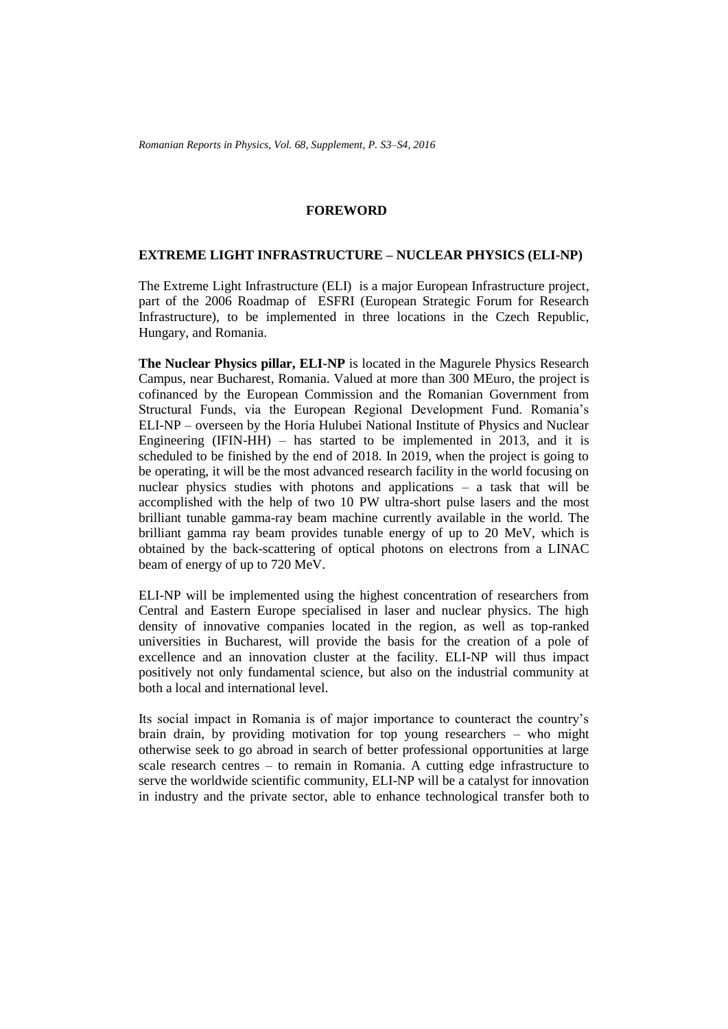## **FOREWORD**

## **EXTREME LIGHT INFRASTRUCTURE – NUCLEAR PHYSICS (ELI-NP)**

The Extreme Light Infrastructure (ELI) is a major European Infrastructure project, part of the 2006 Roadmap of ESFRI (European Strategic Forum for Research Infrastructure), to be implemented in three locations in the Czech Republic, Hungary, and Romania.

**The Nuclear Physics pillar, ELI-NP** is located in the Magurele Physics Research Campus, near Bucharest, Romania. Valued at more than 300 MEuro, the project is cofinanced by the European Commission and the Romanian Government from Structural Funds, via the European Regional Development Fund. Romania's ELI-NP – overseen by the Horia Hulubei National Institute of Physics and Nuclear Engineering (IFIN-HH) – has started to be implemented in 2013, and it is scheduled to be finished by the end of 2018. In 2019, when the project is going to be operating, it will be the most advanced research facility in the world focusing on nuclear physics studies with photons and applications – a task that will be accomplished with the help of two 10 PW ultra-short pulse lasers and the most brilliant tunable gamma-ray beam machine currently available in the world. The brilliant gamma ray beam provides tunable energy of up to 20 MeV, which is obtained by the back-scattering of optical photons on electrons from a LINAC beam of energy of up to 720 MeV.

ELI-NP will be implemented using the highest concentration of researchers from Central and Eastern Europe specialised in laser and nuclear physics. The high density of innovative companies located in the region, as well as top-ranked universities in Bucharest, will provide the basis for the creation of a pole of excellence and an innovation cluster at the facility. ELI-NP will thus impact positively not only fundamental science, but also on the industrial community at both a local and international level.

Its social impact in Romania is of major importance to counteract the country's brain drain, by providing motivation for top young researchers – who might otherwise seek to go abroad in search of better professional opportunities at large scale research centres – to remain in Romania. A cutting edge infrastructure to serve the worldwide scientific community, ELI-NP will be a catalyst for innovation in industry and the private sector, able to enhance technological transfer both to